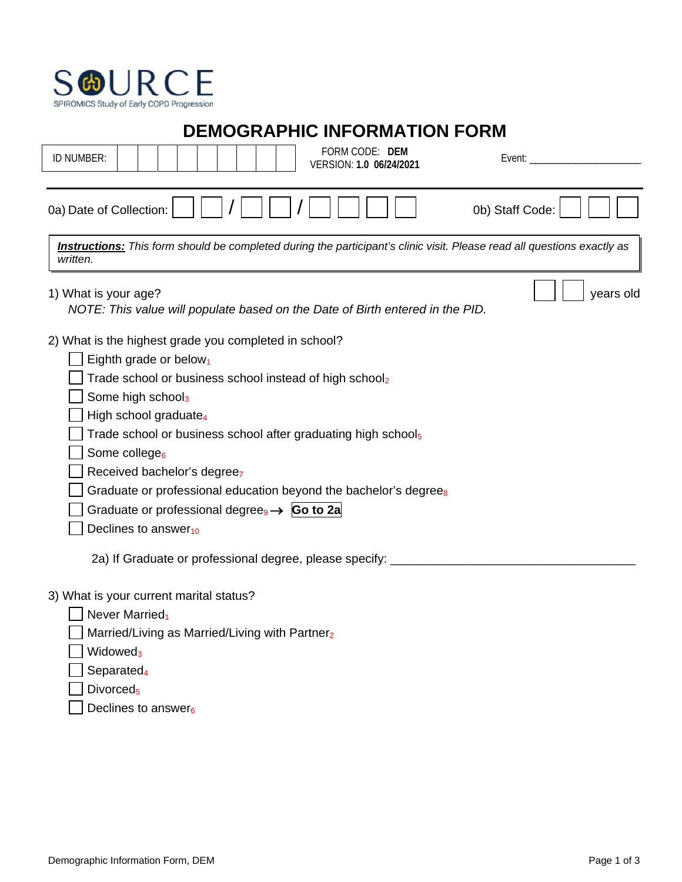

**DEMOGRAPHIC INFORMATION FORM**

| ID NUMBER:                                            |                                                                                                                                                                                  |                                                                     | FORM CODE: DEM<br>VERSION: 1.0 06/24/2021                                                                                                                                                                                                                                                     |                 | Event: <u>www.community.com</u>                                                                                                |
|-------------------------------------------------------|----------------------------------------------------------------------------------------------------------------------------------------------------------------------------------|---------------------------------------------------------------------|-----------------------------------------------------------------------------------------------------------------------------------------------------------------------------------------------------------------------------------------------------------------------------------------------|-----------------|--------------------------------------------------------------------------------------------------------------------------------|
| 0a) Date of Collection:                               |                                                                                                                                                                                  |                                                                     |                                                                                                                                                                                                                                                                                               | 0b) Staff Code: |                                                                                                                                |
| written.                                              |                                                                                                                                                                                  |                                                                     |                                                                                                                                                                                                                                                                                               |                 | <b>Instructions:</b> This form should be completed during the participant's clinic visit. Please read all questions exactly as |
| 1) What is your age?                                  |                                                                                                                                                                                  |                                                                     | NOTE: This value will populate based on the Date of Birth entered in the PID.                                                                                                                                                                                                                 |                 | years old                                                                                                                      |
| 2) What is the highest grade you completed in school? | Eighth grade or below <sub>1</sub><br>Some high school3<br>High school graduate <sub>4</sub><br>Some college <sub>6</sub><br>Received bachelor's degreez<br>Declines to answer10 | Graduate or professional degree <sub>9</sub> $\rightarrow$ Go to 2a | Trade school or business school instead of high school <sub>2</sub><br>Trade school or business school after graduating high school <sub>5</sub><br>Graduate or professional education beyond the bachelor's degree <sub>8</sub><br>2a) If Graduate or professional degree, please specify: _ |                 |                                                                                                                                |
|                                                       |                                                                                                                                                                                  |                                                                     |                                                                                                                                                                                                                                                                                               |                 |                                                                                                                                |

3) What is your current marital status?

 $\Box$  Never Married<sub>1</sub>

 $\Box$  Married/Living as Married/Living with Partner<sub>2</sub>

- $\Box$  Widowed<sub>3</sub>
- $\Box$  Separated<sub>4</sub>
- $\Box$  Divorced<sub>5</sub>
	- $\sqrt{\phantom{a}}$  Declines to answer<sub>6</sub>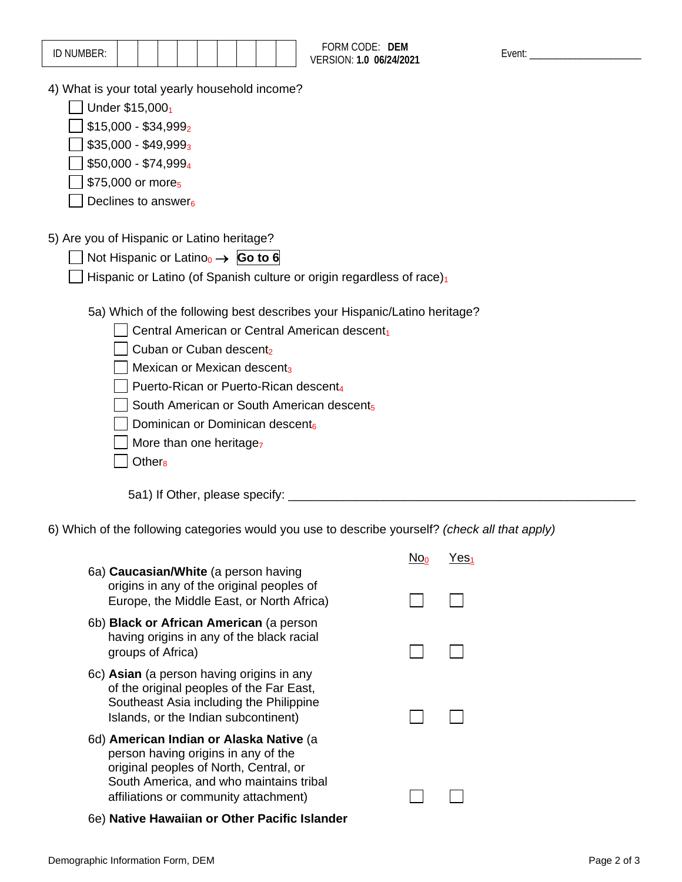| vent |  |
|------|--|
|      |  |

| 10.11111000<br>ID IVOIVIDEIV. |  |  |  |  |  |  |  |  |  |  |
|-------------------------------|--|--|--|--|--|--|--|--|--|--|
|-------------------------------|--|--|--|--|--|--|--|--|--|--|

4) What is your total yearly household income?

 $\Box$  Under \$15,000<sub>1</sub>

 $\Box$  \$15,000 - \$34,999<sub>2</sub>

- $\Box$  \$35,000 \$49,999<sub>3</sub>
- $\Box$  \$50,000 \$74,999<sub>4</sub>
- $\Box$  \$75,000 or more<sub>5</sub>
- $\Box$  Declines to answer<sub>6</sub>
- 5) Are you of Hispanic or Latino heritage?
	- Not Hispanic or Latino0 → **Go to 6**
	- Hispanic or Latino (of Spanish culture or origin regardless of race) $_1$ 
		- 5a) Which of the following best describes your Hispanic/Latino heritage?

FORM CODE: DEM VERSION: 1.0 06/24/2021

- $\Box$  Central American or Central American descent<sub>1</sub>
- $\Box$  Cuban or Cuban descent<sub>2</sub>
- $\Box$  Mexican or Mexican descent<sub>3</sub>
- Puerto-Rican or Puerto-Rican descent<sub>4</sub>
- $\Box$  South American or South American descents
- $\Box$  Dominican or Dominican descent
- $\sqrt{ }$  More than one heritage<sub>7</sub>
- $\Box$  Other<sub>8</sub>

5a1) If Other, please specify: \_\_\_\_\_\_\_\_\_\_\_\_\_\_\_\_\_\_\_\_\_\_\_\_\_\_\_\_\_\_\_\_\_\_\_\_\_\_\_\_\_\_\_\_\_\_\_\_\_\_\_

6) Which of the following categories would you use to describe yourself? *(check all that apply)*

|                                                                                                                                                                          | res. |
|--------------------------------------------------------------------------------------------------------------------------------------------------------------------------|------|
| 6a) <b>Caucasian/White</b> (a person having<br>origins in any of the original peoples of<br>Europe, the Middle East, or North Africa)                                    |      |
| 6b) Black or African American (a person<br>having origins in any of the black racial<br>groups of Africa)                                                                |      |
| 6c) Asian (a person having origins in any<br>of the original peoples of the Far East,<br>Southeast Asia including the Philippine<br>Islands, or the Indian subcontinent) |      |
| 6d) American Indian or Alaska Native (a<br>person having origins in any of the<br>original peoples of North, Central, or<br>South America, and who maintains tribal      |      |
| affiliations or community attachment)                                                                                                                                    |      |

6e) **Native Hawaiian or Other Pacific Islander**